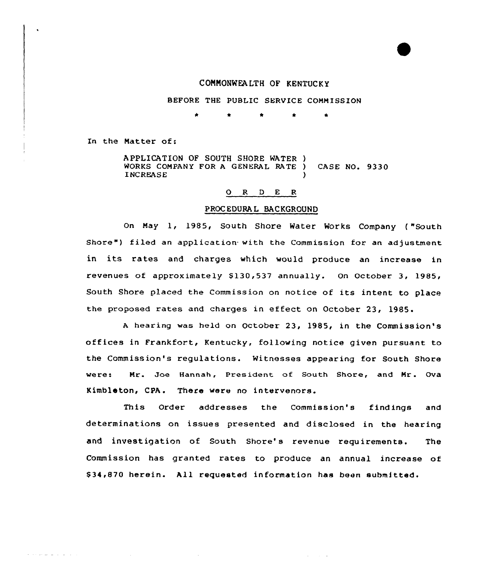# CONNONNEA.LTH OF KENTUCKY

### BEFORE THE PUBLIC SERVICE COMMISSION

\* \* \* \* \*

In the Matter of:

الموارث والمستعفر ومراويها

APPLICATION OF SOUTH SHORE WATER ) WORKS COMPANY FOR A GENERAL RATE ) CASE NO. 9330 **INCREASE** 

## 0 <sup>R</sup> <sup>D</sup> E <sup>R</sup>

## PROC EDURA L BACKGROUND

On May 1, 1985, South Shore Water Works Company ( "South Shore") filed an application with the Commission for an adjustment in its rates and charges which would produce an increase in revenues of approximately \$130,537 annually. On October 3, 1985, South Shore placed the Commission on notice of its intent to place the proposed rates and charges in effect on October 23, 1985.

<sup>A</sup> hearing was held on october 23, 1985, in the commiss ion' offices in Frankfort< Kentucky, following notice given pursuant to the Commission's regulations. Witnesses appearing for South Shore were: Mr. Joe Hannah, President of South Shore, and Mr. Qva Kimbleton, CPA. There were no intervenors.

This Order addresses the Commission's findings and determinations on issues presented and disclosed in the hearing and investigation of South Shore's revenue requirements. The Commission has granted rates to produce an annual increase of \$ 34,870 herein. All requested information has been submitted'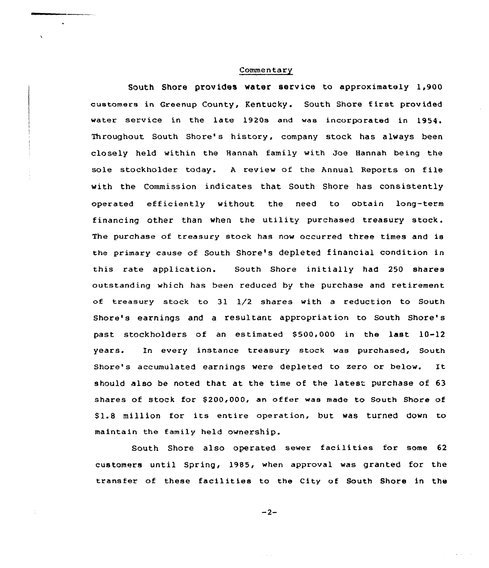#### **Commentary**

South Shore provides water service to approximately 1,900 customers in Greenup County, Kentucky. South Shore first provided water service in the late 1920s and was incorporated in 1954. Throughout South Shore's history, company stock has always been closely held within the Hannah family with Joe Hannah being the sole stockholder today. <sup>A</sup> review of the Annual Reports on file with the Commission indicates that South Shore has consistently operated efficiently without the need to obtain long-term financing other than when the utility purchased treasury stock. The purchase of treasury stock has now occurred three times and is the primary cause of South Shore's depleted financial condition in this rate application. South Shore initially had 250 shares outstanding which has been reduced by the purchase and xetirement of treasury stock to 31 1/2 shares with a reduction to South Shore's earnings and a resultant appropriation to South Shore's past stockholders of an estimated \$500,000 in the last 10-12 years. In every instance treasury stock was purchased, South Shore's accumulated earnings were depleted to zero or below. It should also be noted that at the time of the latest purchase of 63 shares of stock for \$200,000, an offer was made to South Shore of \$1.8 million for its entire operation, but was turned down to maintain the family held ownership.

South Shore also operated sewer facilities for some <sup>62</sup> customers until Spring, 1985, when approval was granted for the transfer of these facilities to the City of South Shore in the

 $-2-$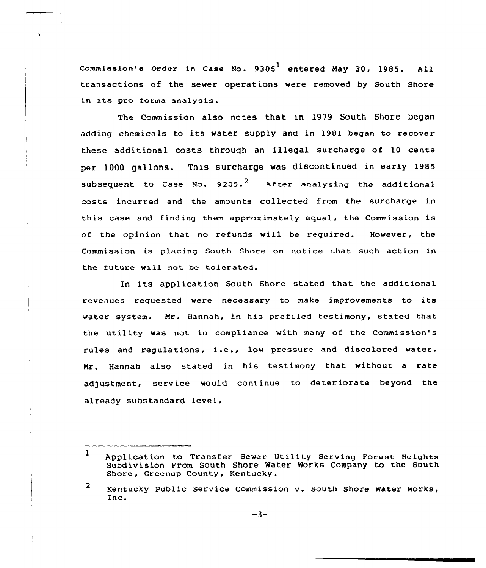Commission's Order in Case No.  $9305<sup>1</sup>$  entered May 30, 1985. All transactions of the sewer operations were removed by South Shore in its pro forma analysis.

The Commission also notes that in 1979 South Shore began adding chemicals to its water supply and in 1981 began to recover these additional costs through an illegal surcharge of 10 cents per 1000 gallons. This surcharge was discontinued in early 1985 subsequent to Case No. 9205.<sup>2</sup> After analysing the additional costs incurred and the amounts collected from the surcharge in this case and finding them approximately equal, the Commission is of the opinion that no refunds will be required. However, the Commission is placing South Shore on notice that such action in the future will not be tolerated.

In its application South Shore stated that the additional revenues requested were necessary to make improvements to its water system. Mr. Hannah, in his prefiled testimony, stated that the utility was not in compliance with many of the Commission's rules and regulations, i.e., low pressure and discolored water. Mr. Hannah also stated in his testimony that without a rate adjustment, service would continue to deteriorate beyond the already substandard level.

<sup>1</sup> Application to Transfer Sewer Utility Serving Forest Heights Subdivision From South Shore Water Works Company to the South Shore, Greenup County, Kentucky.

<sup>2</sup> Kentucky Public Service Commission v. South Shore Water Works, Inc.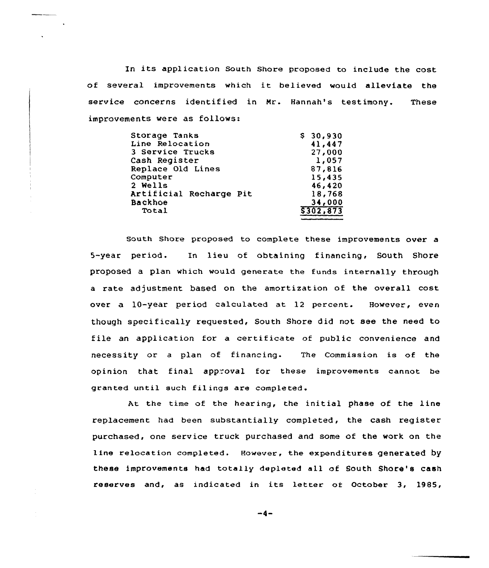In its application South Shore proposed to include the cost of several improvements which it believed would alleviate the service concerns identified in Mr. Hannah's testimony. These improvements were as follows:

| Storage Tanks           | \$30,930 |
|-------------------------|----------|
| Line Relocation         | 41,447   |
| 3 Service Trucks        | 27,000   |
| Cash Register           | 1,057    |
| Replace Old Lines       | 87,816   |
| Computer                | 15,435   |
| 2 Wells                 | 46,420   |
| Artificial Recharge Pit | 18,768   |
| <b>Backhoe</b>          | 34,000   |
| Total                   | 5302,873 |

South Shore proposed to complete these improvements over a 5-year period. In lieu of obtaining financing, South Shore proposed a plan which would generate the funds internally through a rate adjustment based on the amortization of the overall cost over a 10-year period calculated at 12 percent. However, even though specifically requested, South Shore did not see the need to file an application for a certificate of public convenience and necessity or a plan of financing. The Commission is of the opinion that final approval for these improvements cannot be granted until such filings are completed.

At the time of the hearing, the initial phase of the line replacement had been substantially completed, the cash register purchased, one service truck purchased and some of the work on the line relocation completed. However, the expenditures generated by these improvements had totally depleted all of South Shore's cash reserves and, as indicated in its letter of October 3, 1985,

 $-4-$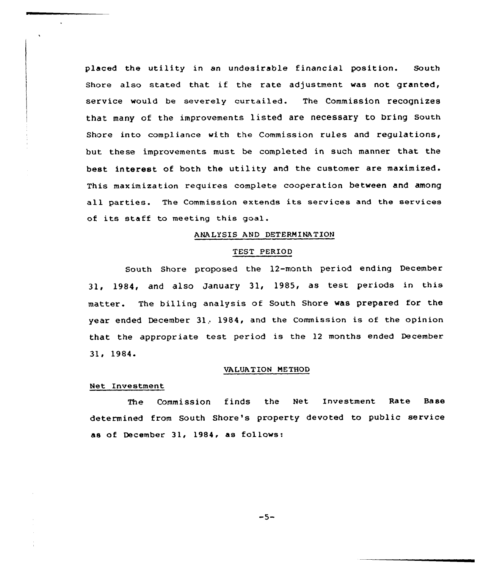placed the utility in an undesirable financial position. South Shore also stated that if the rate adjustment was not granted, service would be severely curtailed. The Commission recognizes that many of the improvements listed are necessary to bring south Shore into compliance with the Commission rules and regulations, but these improvements must be completed in such manner that the best interest of both the utility and the customer are maximized. This maximization requires complete cooperation between and among all parties. The Commission extends its services and the services of its staff to meeting this goal.

## ANALYSIS AND DETERNINATIOH

#### TEST PERIOD

South Shore proposed the 12-month period ending December 3l, 1984, and also January 31, l985, as test periods in this matter. The billing analysis of South Shore was prepared for the year ended December 31, 1984, and the Commission is of the opinion that the appropriate test period is the <sup>12</sup> months ended December 31, 1984.

#### VALUATION METHOD

### Net Investment

The Commission finds the Net Investment Rate Base determined from South Shore's property devoted to public service as of December 31, 1984, as follows:

 $-5-$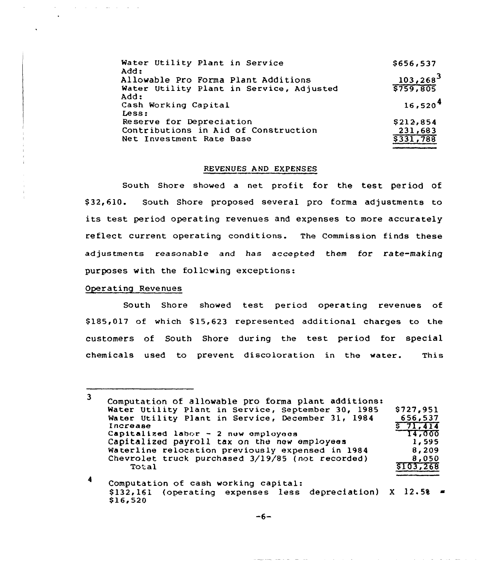| Water Utility Plant in Service<br>Add:   | \$656,537           |
|------------------------------------------|---------------------|
| Allowable Pro Forma Plant Additions      | $103, 268^3$        |
| Water Utility Plant in Service, Adjusted | 5759,805            |
| Add:<br>Cash Working Capital<br>Less:    | 16.520 <sup>4</sup> |
| Reserve for Depreciation                 | \$212,854           |
| Contributions in Aid of Construction     | 231,683             |
| Net Investment Rate Base                 | 5331,788            |

## REVENUES AND EXPENSES

South Shore showed a net profit for the test period of \$ 32,610. South Shore proposed several pro forma adjustments to its test period operating revenues and expenses to more accurately reflect current operating conditions. The Commission finds these adjustments reasonable and has accepted them for rate-making purposes with the follcwing exceptions:

#### Operating Revenues

and the state of the state of

South Shore showed test period operating revenues of \$ 185,017 of which \$ 15,623 represented additional charges to the customers of South Shore during the test period for special chemicals used to prevent discoloration in the water. This

 $\overline{\mathbf{3}}$ Computation of allowable pro forma plant additions: Water Utility Plant in Service, September 30, 1985 \$727,951 Water Utility Plant in Service, December 31, 1984 656,537 I ncrease \$71,414<br>14,000 Capitalized labor  $-2$  new employees Capitalized payroll tax on the new employees 1, 595 Waterline relocation previously expensed in 1984 8, 209 Chevrolet truck purchased 3/19/85 (not recorded) 8,050 **Total** \$ 103,268

<sup>4</sup> Computation of cash working capital: empressed of the meaning expenses depreciation) X 12.58 \$ 16,520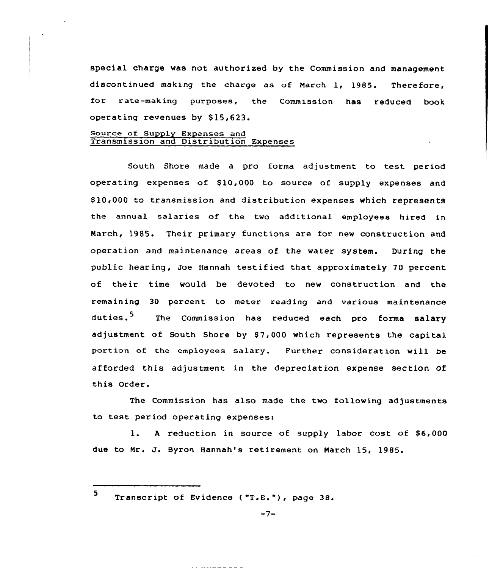special charge was not authorized by the Commission and management discontinued making the charge as of Narch 1, 1985. Therefore, for rate-making purposes, the Commission has reduced book operating revenues by \$ 15,623.

# Source of Supply Expenses and Transmission and Distribution Expense

South Shore made <sup>a</sup> pro forma adjustment to test period operating expenses of  $$10,000$  to source of supply expenses and \$ 10,000 to transmission and distributicn expenses which represents the annual salaries of the two additional employees hired in Narch, 1985. Their primary functions are for new construction and operation and maintenance areas of the water system. During the public hearing, Joe Hannah testified that approximately 70 percent of their time would be devoted to new construction and the remaining 30 percent to meter reading and various maintenance duties.<sup>5</sup> The Commission has reduced each pro forma salary adjustment of South Shore by \$7,000 which represents the capital portion of the employees salary. Further consideration will be afforded this adjustment in the depreciation expense section of this Order.

The Commission has also made the two following adjustments to test period operating expenses:

1. A reduction in source of supply labor cost of \$6,000 due to Nr. J. Byron Hannah's retirement on Narch 15, 1985.

Transcript of Evidence ("T.E."), page 38.

5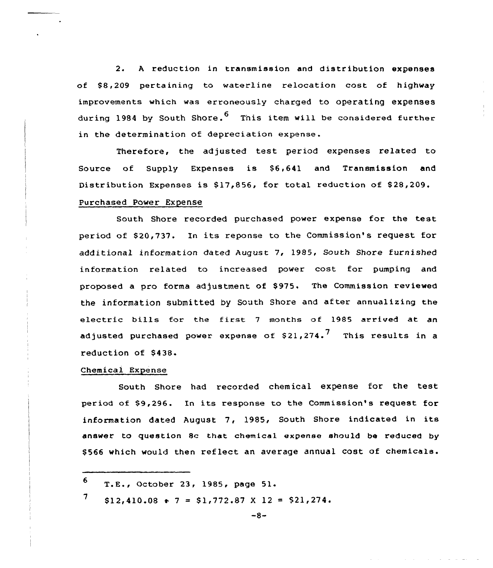2. A reduction in transmission and distribution expenses of \$8,209 pertaining to waterline relocation cost of highway improvements which was erroneausly charged to operating expenses during 1984 by South Shore.<sup>6</sup> This item will be considered further in the determination of depreciation expense.

Therefore, the adjusted test period expenses related to Source of Supply Expenses is \$6,641 and Transmission and Distribution Expenses is \$17,856, for total reduction of \$28,209. purchased Power Expense

South Shore recorded purchased power expense for the test period of \$20,737. In its reponse to the Commission's request for additional information dated August 7, 1985, South Shore furnished information related to increased power cost for pumping and proposed a pro forma adjustment of \$975. The Commission reviewed the information submitted by South Shore and af ter annualizing the electric bills for the first 7 months of 1985 arrived at an adjusted purchased power expense of \$21,274. $^7\,$  This results in a reduction of \$438.

## Chemical Expense

South Shore had recorded chemical expense for the test period of \$9,296. In its respanse to the Commission's request for information dated August 7, 1985, South Shore indicated in its answer to question sc that chemical expense should be reduced by \$ 566 which would then reflect an average annual cost of chemicals.

<sup>6</sup> T.E., October 23, 1985, page 51.

<sup>7</sup>  $$12,410.08 + 7 = $1,772.87 \times 12 = $21,274.$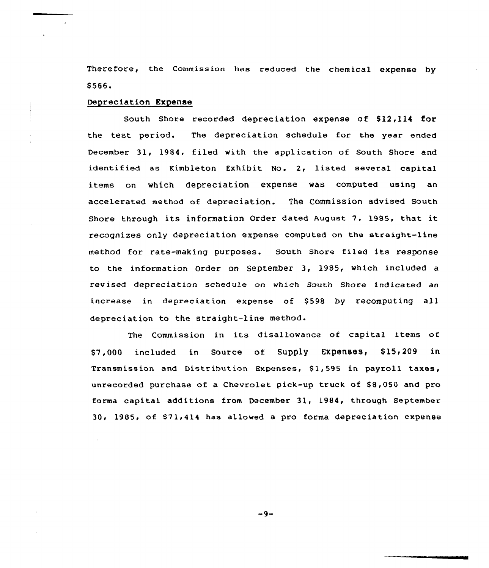Therefore, the Commission has reduced the chemical expense by \$566.

## Depreciation Expense

South Shore recorded depreciation expense of \$12,114 for the test period. The depreciation schedule for the year ended December 31, 1984, filed with the application of South Shore and identified as Kimbleton Exhibit No. 2, listed several capital items on which depreciation expense was computed using an accelerated method of depreciation. The Commission advised South Shore through its information Order dated August 7, 1985, that it recognizes only depreciation expense computed on the straight-line method for rate-making purposes. South Shore filed its response to the information Order on September 3, 1985, which included a revised depreciation schedule on which South Shore indicated an increase in depreciation expense of \$598 by recomputing all depreciation to the straight-line method.

The Commission in its disallowance of capital items of \$7,000 included in Source of Supply Expenses, \$ 15,209 in Transmission and Distribution Expenses, \$1,595 in payroll taxes, unrecorded purchase of a Chevrolet pick-up truck of \$8,050 and pro forma capital additions from December 31, 1984, through September 30, 1985, of \$71,414 has allowed a pro forma depreciation expense

 $-9-$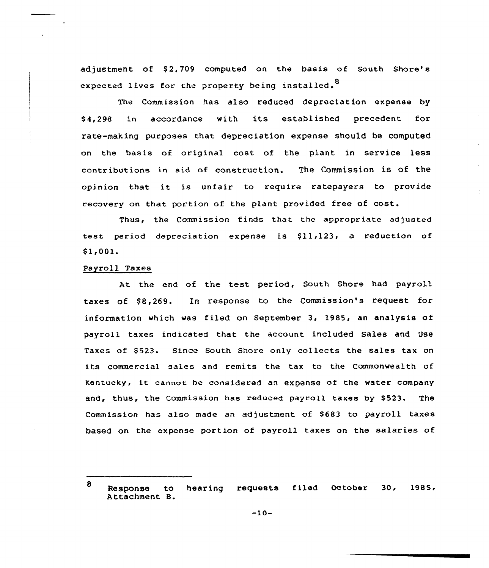adjustment of \$2,709 computed on the basis of South Shore's expected lives for the property being installed.<sup>8</sup>

The Commission has also reduced depreciation expense by \$ 4,298 in accordance with its established precedent for rate-making purposes that depreciation expense should be computed on the basis of original cost of the plant in service less contributions in aid of construction. The Commission is of the opinion that it. is unfair to require ratepayers to provide recovery on that portion of the plant provided free of cost.

Thus, the Commission finds that the appropriate adjusted test period depreciation expense is  $$11,123$ , a reduction of \$ 1,001.

# Payroll Taxes

At. the end of the test period, South Shore had payroll taxes of \$&,269. In response to the Commission's request for information which was filed on September 3< 1985, an analysis of payroll taxes indicated that the account included Sales and Use Taxes of \$523. Since South Shore only collects the sales tax on its commercial sales and remits the tax to the Commonwealth of Kentucky> it cannot be considered an expense of the water company and, thus, the Commission has reduced payroll taxes by \$523. The Commission has also made an adjustment of \$683 to payroll taxes based on the expense portion of payroll taxes on the salaries of

<sup>8</sup> Response to hearing requests filed October 30, 1985, Attachment B.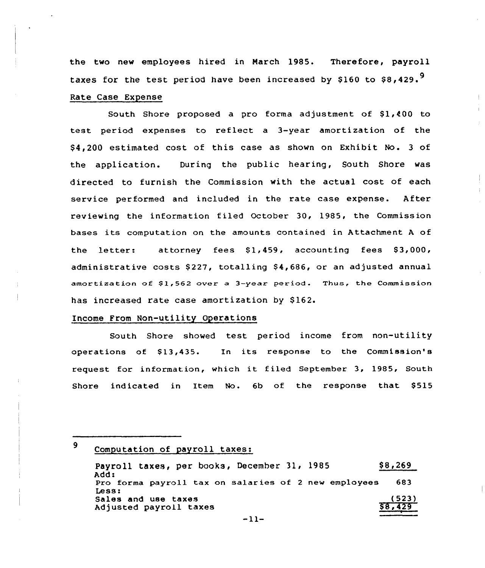the two new employees hired in March 1985. Therefore, payroll taxes for the test period have been increased by \$160 to  $$8.429.^9$ Rate Case Expense

South Shore proposed a pro forma adjustment of  $$1,400$  to test period expenses to reflect a 3-year amortization of the \$ 4,200 estimated cost of this case as shown on Exhibit No. 3 of the application. During the public hearing, South Shore was directed to furnish the Commission with the actual cost of each service performed and included in the rate case expense. After reviewing the information filed October 30, 1985, the Commission bases its computation on the amounts contained in Attachment <sup>A</sup> of the letter: attorney fees  $$1,459$ , accounting fees  $$3,000$ , administrative costs  $$227$ , totalling  $$4,686$ , or an adjusted annual amortization of \$1,562 over a 3-year period. Thus, the Commission has increased rate case amortization by \$162.

### Income From Non-utility Operations

South Shore showed test period income from non-utility operations of  $$13,435$ . In its response to the Commission's request for information, which it filed September 3, 1985, South Shore indicated in Item No. 6b of the response that \$515

<sup>9</sup> Computation of payroll taxes:

Payroll taxes, per books, December 31, 1985 Add: Pro forma payro11 tax on salaries of <sup>2</sup> new employees 683Less: Sales and use taxes Adjusted payroll taxes  $$8,269$ (523) \$8,429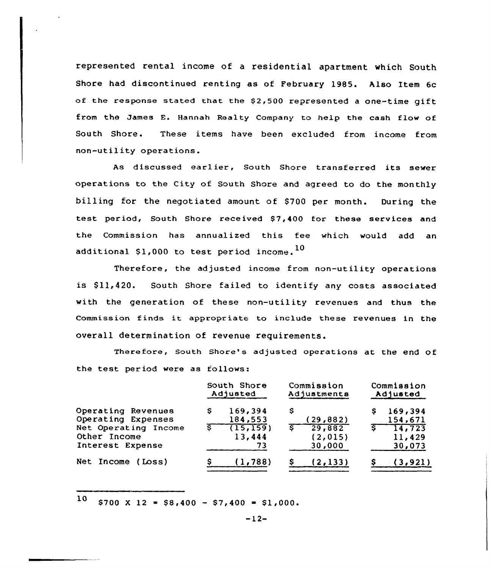represented rental income of a residential apartment which South Shore had discontinued renting as of February 1985. Also Item 6c of the response stated that the  $$2,500$  represented a one-time gift from the James E. Hannah Realty Company to help the cash flow of South Shore. These items have been excluded from income from non-utility operations.

As discussed earlier, South Shore transferred its sewer operations to the City of South Shore and agreed to do the monthly billing for the negotiated amount of \$700 per month. During the test period, South Shore received \$7,400 for these services and the Commission has annualized this fee which would add an additional \$1,000 to test period income.  $^{10}$ 

Therefore, the adjusted income from non-utility operations is \$11,420. South Shore failed to identify any costs associated with the generation of these non-utility revenues and thus the commission finds it appropriate to include these revenues in the overall determination of revenue requirements.

Therefore, South Shore's adjusted operations at the end Of the test period were as follows:

|                      |   | South Shore<br>Adjusted |   | Commission<br>Adjustments |   | Commission<br>Adjusted |
|----------------------|---|-------------------------|---|---------------------------|---|------------------------|
| Operating Revenues   | s | 169,394                 | s |                           | s | 169,394                |
| Operating Expenses   |   | 184,553                 |   | (29, 882)                 |   | 154,671                |
| Net Operating Income |   | (15, 159)               |   | 29,882                    |   | 14,723                 |
| Other Income         |   | 13,444                  |   | (2, 015)                  |   | 11,429                 |
| Interest Expense     |   | 73                      |   | 30,000                    |   | 30,073                 |
| Net Income (Loss)    |   | (1, 788)                |   | (2, 133)                  |   | (3, 921)               |

 $10$  \$700 X 12 = \$8,400 - \$7,400 = \$1,000.

 $-12-$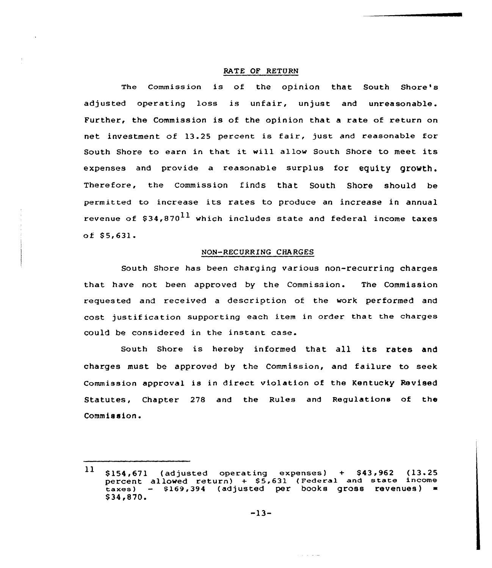### RATE OF RETURN

The Commission is of the opinion that South Shore's adjusted operating loss is unfair, unjust and unreasonable. Further, the Commission is of the opinion that a rate of return on net investment of 13.25 percent is fair, just and reasonable for South Shore to earn in that it will allow South Shore to meet its expenses and provide a reasonable surplus for equity growth. Therefore, the Commission finds that South Shore should be permitted to increase its rates to produce an increase in annual revenue of  $$34,870^{11}$  which includes state and federal income taxes  $of $5,631.$ 

### NON-RECURRING CHARGES

South Shore has been charging various non-recurring charges that have not been approved by the Commission. The Commission requested and received a descriotion of the work performed and cost justification supporting each item in order that the charges could be considered in the instant case.

South Shore is hereby informed that all its rates and charges must be approved by the Commission, and failure to seek Commission approval is in direct violation of the Kentucky Revised Statutes, Chapter 278 and the Rules and Regulations of the Commission.

سائل الأراد

<sup>\$154,671 (</sup>adjusted operating<br>percent allowed return) + \$5,6<br>taxes) - \$169,394 (adjusted p<br>\$34,870.<br>-13- $11$  $$154,671$  (adjusted operating expenses) +  $$43,962$  (13.25) percent allowed return) + \$5,631 (Federal and state income taxes) — \$ 169,394 (adjusted per books gross revenues)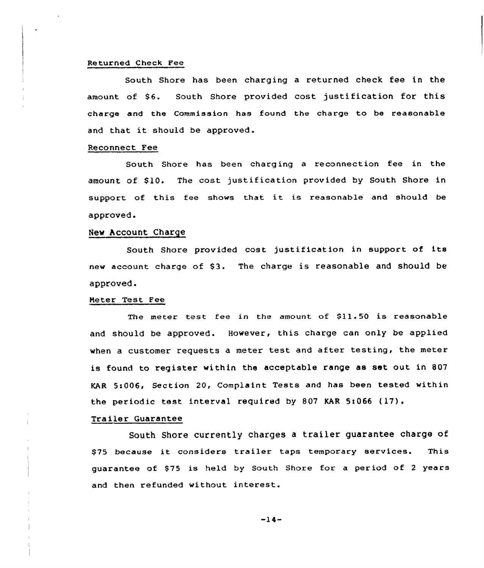#### Returned Check Fee

South Shore has been charging a returned check fee in the amount of \$6. South Shore provided cost justification for this charge and the Commission has found the charge to be reasonable and that it should be approved.

## Reconnect Fee

South Shore has been charging a reconnection fee in the amount of \$10. The cost justification provided by South Shore in support of this fee shows that it is reasonable and should be approved.

#### New Account Charge

South Shore provided cost justification in support of its new account charge of 83. The charge is reasonable and should be approved.

## Meter Test Fee

The meter test fee in the amount of  $$11.50$  is reasonable and should be approved. However, this charge can only be applied when <sup>a</sup> customer requests a meter test and after testing, the meter is found to register within the acceptable range as set out in 807 KAR 5s006, Section 20, Complaint Tests and has been tested within the periodic test interval required by <sup>807</sup> KAR 5t066 (17).

### Trailer Guarantee

South Shore currently charges <sup>a</sup> trailer guarantee charge of \$75 because it considers trailer taps temporary services. This quarantee of \$75 is held by South Shore for a period of 2 years and then refunded without interest.

 $-14-$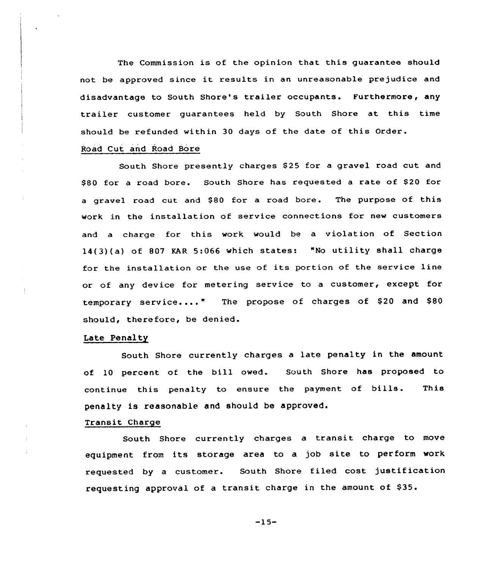The Commission is of the opinion that this guarantee should not be approved since it results in an unreasonable prejudice and disadvantage to South Shore's trailer occupants. Furthermore, any trailer customer guarantees held by South Shore at this time should be refunded within 30 days of the date of this Order.

## Road Cut and Road Bore

South Shore presently charges \$25 for a gravel road cut and \$80 for a road bore. South Shore has requested a rate of \$20 for a gravel road cut and \$80 for a road bore. The purpose of this work in the installation of service connections for new customers and a charge for this work would be a violation of Section 14(3}(a) of <sup>807</sup> KAR 5:066 which states: "No utility shall charge for the installation or the use of its portion of the service line or of any device for metering service to a customer, except for temporary service...." The propose of charges of \$20 and \$80 should, therefore, be denied.

## Late Penalty

South Shore currently charges a late penalty in the amount of l0 percent of the bill owed. South Shore has proposed to continue this penalty to ensure the payment of bills. This penalty is reasonable and should be approved.

## Transit Charge

South Shore currently charges a transit charge to move equipment from its storage area to a job site to perform work requested by <sup>a</sup> customer. South Shore filed cost justification requesting approval of a transit charge in the amount of \$35.

 $-15-$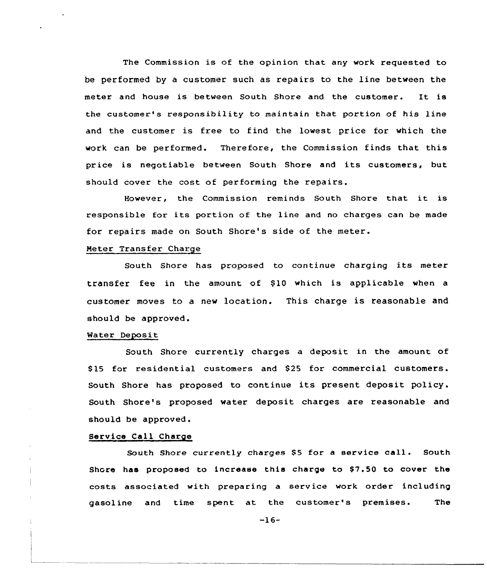The Commission is of the opinion that any work requested to be performed by a customer such as repairs to the line between the meter and house is between South Shore and the customer. It is the customer's responsibility to maintain that portion of his line and the customer is free to find the lowest price for which the work can be performed. Therefore, the Commission finds that this price is negotiable between South Shore and its customers, but should cover the cost of performing the repairs.

However, the Commission reminds South Shore that it is responsible for its portion of the line and no charges can be made for repairs made on South Shore's side of the meter.

## Meter Transfez Charge

South Shore has proposed to continue charging its meter transfer fee in the amount of \$10 which is applicable when a customer moves to a new location. This charge is reasonable and should be approved.

#### Mater Deposit

South Shore currently charges a deposit in the amount of \$ 15 for residential customers and S25 for commercial customers. South Shore has proposed to continue its present deposit policy. South Shore's proposed water deposit charges are reasonable and should be approved.

## Service Call Charge

South Shore currently charges \$5 for a service call. South Shore has proposed to increase this charge to \$7.50 to cover the costs associated with preparing a service work order including gasoline and time spent at the customer's premises. The

 $-16-$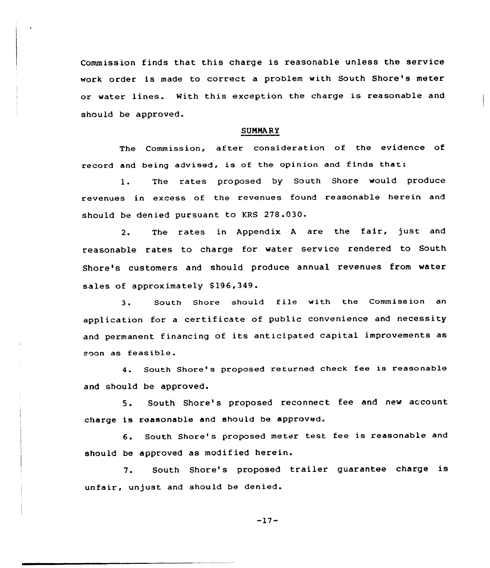Commission finds that this charge is reasonable unless the service work order is made to correct <sup>a</sup> problem with South Shore's meter or water lines. With this exception the charge is reasonable and should be approved.

#### SUNNARY

The Commission, after consideration of the evidence of record and being advised, is of the opinion and finds that:

1. The rates proposed by South Shore would produce revenues in excess of the revenues found reasonable herein and should be denied pursuant to KRS 278.030.

2. The rates in Appendix <sup>A</sup> are the fair, just and reasonable rates to charge for water service rendered to South Shore's customers and should produce annual revenues from water sales of approximately \$196,349.

3. South Shore should file with the Commission an application for <sup>a</sup> certificate of public convenience and necessity and permanent financing of its anticipated capital improvements as soon as feasible.

4. South Shore's proposed returned check fee is reasonable and should be approved.

5. South Shore's proposed reconnect fee and new account charge is reasonable and should be approved.

6. South Shore's proposed meter test fee is reasonable and should be approved as modified herein.

7. South Shore's proposed trailer guarantee charge is unfair, unjust and should be denied.

-17-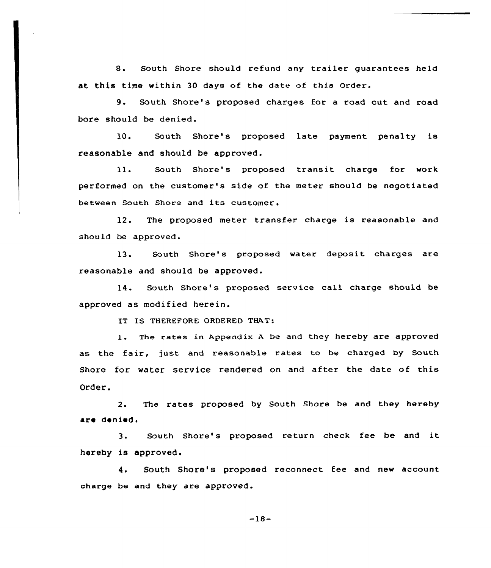8. South Shore should refund any trailer guarantees held at this time within 30 days of the date of this order.

9. South Shore's proposed charges for <sup>a</sup> road cut and road bore should be denied.

10. South Shore's proposed late payment penalty is reasonable and should be approved.

 $11.$ South Shore's proposed transit charge for work performed on the customer's side of the meter should be n<mark>e</mark>gotiate between South Shore and its customer.

12. The proposed meter transfer charge is reasonable and should be approved.

13. South Shore's proposed water deposit charges are reasonable and should be approved.

14. South Shore's proposed service call charge should be approved as modified herein.

IT IS THEREFORE ORDERED THAT'.

1. The rates in Appendix A be and they hereby are approved as the fair, just and reasonable rates to be charged by South Shore for water service rendered on and after the date of this Order.

2. The rates proposed by South Shore be and they hereby are denied.

3. South Shore's proposed return check fee be and it hereby is approved.

4. South Shore's proposed reconnect fee and new account charge be and they are approved.

-18-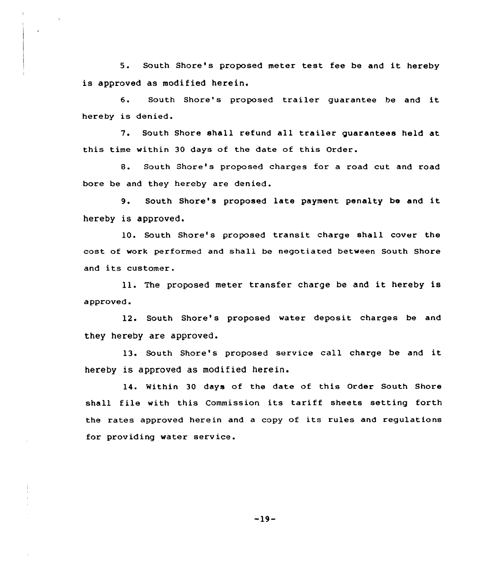5. South Shore's proposed meter test fee be and it hereby is approved as modified herein.

6. South Shore's proposed trailer guarantee he and it hereby is denied.

7. South Shore shall refund all trailer guarantees held at this time within 30 days of the date of this Order.

8. South Shore's proposed charges for a road cut and road bore be and they hereby are denied.

9. South Shore's proposed late payment penalty be and it hereby is approved.

10. South Shore's proposed transit charge shall cover the cost of work performed and shall be negotiated between South Shore and its customer.

11. The proposed meter transfer charge be and it hereby is approved.

12. South Shore's proposed water deposit charges be and they hereby are approved.

13. South Shore's proposed service call charge be and it hereby is approved as modified herein.

14. Within 30 days of the date of this Order South Shore shall file with this Commission its tariff sheets setting forth the rates approved herein and a copy of its rules and regulations for providing water service.

-19-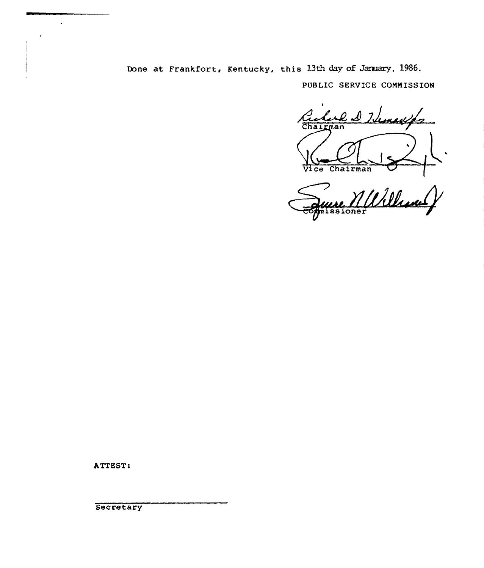Done at Frankfort, Kentucky, this 13th day of January, 1986. PUBLIC SERVICE COMMISSION

l D. Heneyfs  $r$ man Vice Chairman

wA/ issione

ATTEST:

 $\ddot{\phantom{0}}$ 

**Secretary**